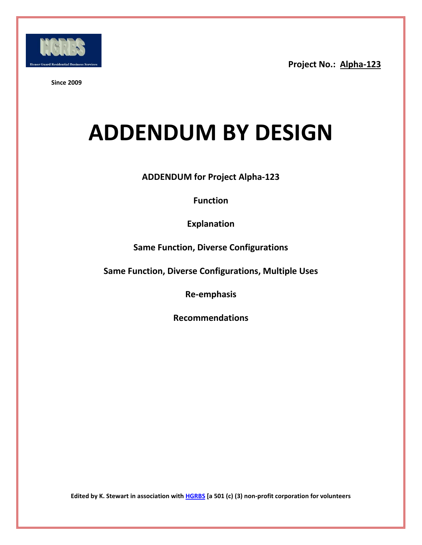

**Since 2009**

# **ADDENDUM BY DESIGN**

**ADDENDUM for Project Alpha-123**

**Function**

**Explanation**

**Same Function, Diverse Configurations**

**Same Function, Diverse Configurations, Multiple Uses**

**Re-emphasis**

**Recommendations**

**Edited by K. Stewart in association with [HGRBS](http://www.hgrbs-flagship.com/) [a 501 (c) (3) non-profit corporation for volunteers**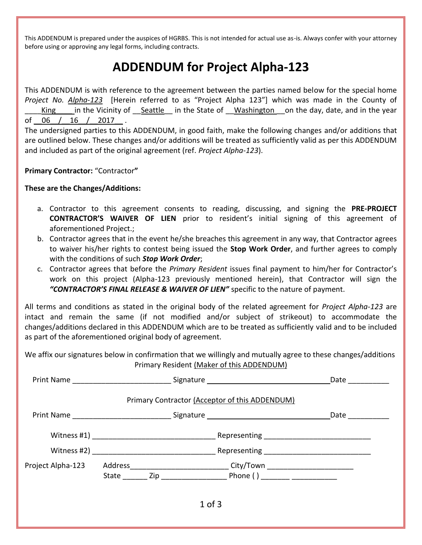This ADDENDUM is prepared under the auspices of HGRBS. This is not intended for actual use as-is. Always confer with your attorney before using or approving any legal forms, including contracts.

### **ADDENDUM for Project Alpha-123**

This ADDENDUM is with reference to the agreement between the parties named below for the special home *Project No. Alpha-123* [Herein referred to as "Project Alpha 123"] which was made in the County of King in the Vicinity of Seattle in the State of Washington on the day, date, and in the year of 06 / 16 / 2017 .

The undersigned parties to this ADDENDUM, in good faith, make the following changes and/or additions that are outlined below. These changes and/or additions will be treated as sufficiently valid as per this ADDENDUM and included as part of the original agreement (ref. *Project Alpha-123*).

**Primary Contractor:** "Contractor**"**

#### **These are the Changes/Additions:**

- a. Contractor to this agreement consents to reading, discussing, and signing the **PRE-PROJECT CONTRACTOR'S WAIVER OF LIEN** prior to resident's initial signing of this agreement of aforementioned Project.;
- b. Contractor agrees that in the event he/she breaches this agreement in any way, that Contractor agrees to waiver his/her rights to contest being issued the **Stop Work Order**, and further agrees to comply with the conditions of such *Stop Work Order*;
- c. Contractor agrees that before the *Primary Resident* issues final payment to him/her for Contractor's work on this project (Alpha-123 previously mentioned herein), that Contractor will sign the *"CONTRACTOR'S FINAL RELEASE & WAIVER OF LIEN"* specific to the nature of payment.

All terms and conditions as stated in the original body of the related agreement for *Project Alpha-123* are intact and remain the same (if not modified and/or subject of strikeout) to accommodate the changes/additions declared in this ADDENDUM which are to be treated as sufficiently valid and to be included as part of the aforementioned original body of agreement.

We affix our signatures below in confirmation that we willingly and mutually agree to these changes/additions Primary Resident (Maker of this ADDENDUM)

|                                                                                  |  |                                                                                  | Date                                                                                                          |
|----------------------------------------------------------------------------------|--|----------------------------------------------------------------------------------|---------------------------------------------------------------------------------------------------------------|
|                                                                                  |  | Primary Contractor (Acceptor of this ADDENDUM)                                   |                                                                                                               |
| Print Name _________________________________Signature __________________________ |  |                                                                                  | Date and the state of the state of the state of the state of the state of the state of the state of the state |
|                                                                                  |  | _Representing _________________________________                                  |                                                                                                               |
|                                                                                  |  |                                                                                  |                                                                                                               |
|                                                                                  |  | Project Alpha-123 Address____________________________City/Town _________________ |                                                                                                               |
|                                                                                  |  | $1$ of $3$                                                                       |                                                                                                               |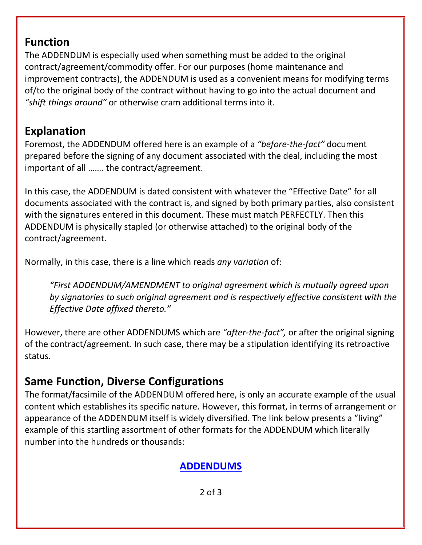#### **Function**

The ADDENDUM is especially used when something must be added to the original contract/agreement/commodity offer. For our purposes (home maintenance and improvement contracts), the ADDENDUM is used as a convenient means for modifying terms of/to the original body of the contract without having to go into the actual document and *"shift things around"* or otherwise cram additional terms into it.

#### **Explanation**

Foremost, the ADDENDUM offered here is an example of a *"before-the-fact"* document prepared before the signing of any document associated with the deal, including the most important of all ……. the contract/agreement.

In this case, the ADDENDUM is dated consistent with whatever the "Effective Date" for all documents associated with the contract is, and signed by both primary parties, also consistent with the signatures entered in this document. These must match PERFECTLY. Then this ADDENDUM is physically stapled (or otherwise attached) to the original body of the contract/agreement.

Normally, in this case, there is a line which reads *any variation* of:

*"First ADDENDUM/AMENDMENT to original agreement which is mutually agreed upon by signatories to such original agreement and is respectively effective consistent with the Effective Date affixed thereto."*

However, there are other ADDENDUMS which are *"after-the-fact",* or after the original signing of the contract/agreement. In such case, there may be a stipulation identifying its retroactive status.

## **Same Function, Diverse Configurations**

The format/facsimile of the ADDENDUM offered here, is only an accurate example of the usual content which establishes its specific nature. However, this format, in terms of arrangement or appearance of the ADDENDUM itself is widely diversified. The link below presents a "living" example of this startling assortment of other formats for the ADDENDUM which literally number into the hundreds or thousands:

#### **[ADDENDUMS](https://www.google.com/search?safe=active&noj=1&biw=1267&bih=889&site=webhp&tbm=isch&sa=1&q=addendums&oq=addendums&gs_l=img.3..0j0i5i30k1j0i24k1l8.13965.16513.0.16886.9.8.0.1.1.0.66.451.8.8.0....0...1c.1.64.img..0.9.450...0i67k1.Q6wuKwFQ3Ik)**